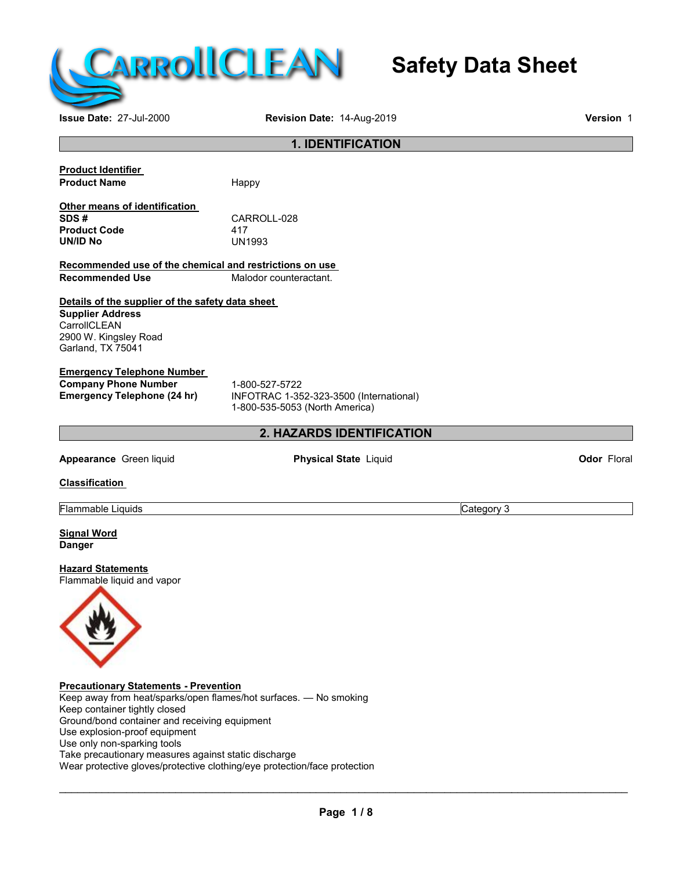

# **Safety Data Sheet**

## **Issue Date:** 27-Jul-2000 **Revision Date:** 14-Aug-2019 **Version** 1 **1. IDENTIFICATION Product Identifier Product Name** Happy **Other means of identification SDS #** CARROLL-028 **Product Code** 417 **UN/ID No Recommended use of the chemical and restrictions on use Malodor counteractant. Details of the supplier of the safety data sheet Supplier Address CarrollCLEAN** 2900 W. Kingsley Road Garland, TX 75041 **Emergency Telephone Number Company Phone Number** 1-800-527-5722<br> **Emergency Telephone (24 hr)** INFOTRAC 1-35 **Emergency Telephone (24 hr)** INFOTRAC 1-352-323-3500 (International) 1-800-535-5053 (North America) **2. HAZARDS IDENTIFICATION Appearance** Green liquid **Physical State** Liquid **Codor** Floral **Odor** Floral **Classification Flammable Liquids** Category 3 **Signal Word Danger Hazard Statements** Flammable liquid and vapor **Precautionary Statements - Prevention** Keep away from heat/sparks/open flames/hot surfaces. — No smoking Keep container tightly closed Ground/bond container and receiving equipment Use explosion-proof equipment

Use only non-sparking tools Take precautionary measures against static discharge Wear protective gloves/protective clothing/eye protection/face protection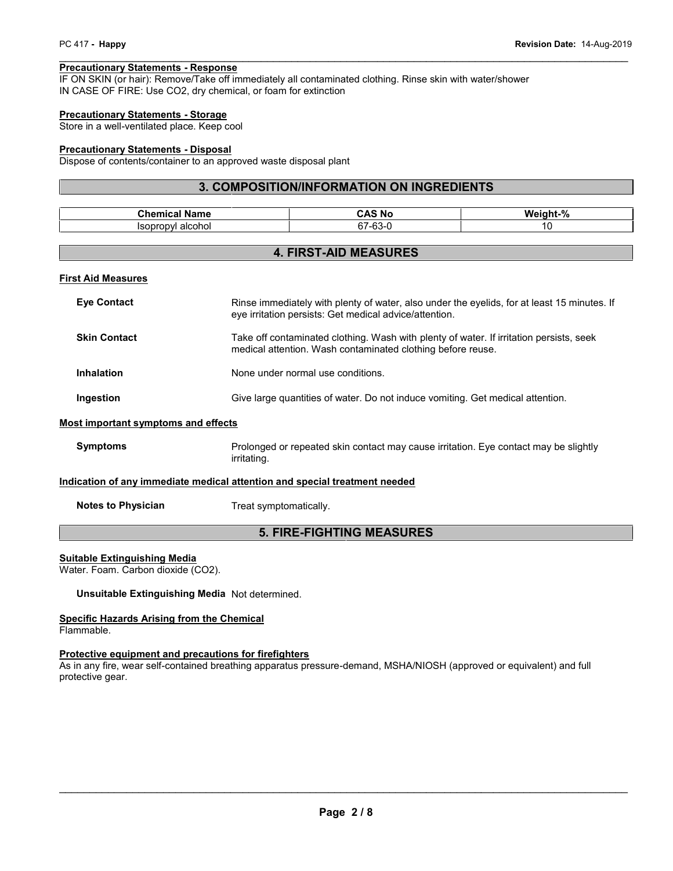**PC 417 - Happy**<br> **Precautionary Statements - Response**<br>IF ON SKIN (or hair): Remove/Take off immediately all contaminated clothing. Rinse skin with water/shower<br>IN CASE OF FIRE: Use CO2, dry chemical, or foam for extincti IN CASE OF FIRE: Use CO2, dry chemical, or foam for extinction

#### **Precautionary Statements - Storage**

Store in a well-ventilated place. Keep cool

#### **Precautionary Statements - Disposal**

Dispose of contents/container to an approved waste disposal plant

#### **3. COMPOSITION/INFORMATION ON INGREDIENTS**

| . .<br>Chemical<br>Name             | `No<br>CAS                           | $\mathbf{a}$<br>We<br>i es le t<br>70 |
|-------------------------------------|--------------------------------------|---------------------------------------|
| alcohol<br>le.<br>וענ<br>п.<br>ּשׁו | $\sim$<br>$\sim$<br>. .<br>--دن- ، . | 7 U                                   |

#### **4. FIRST-AID MEASURES**

#### **First Aid Measures**

| <b>Eve Contact</b>                         | Rinse immediately with plenty of water, also under the eyelids, for at least 15 minutes. If<br>eye irritation persists: Get medical advice/attention.  |  |
|--------------------------------------------|--------------------------------------------------------------------------------------------------------------------------------------------------------|--|
| <b>Skin Contact</b>                        | Take off contaminated clothing. Wash with plenty of water. If irritation persists, seek<br>medical attention. Wash contaminated clothing before reuse. |  |
| Inhalation                                 | None under normal use conditions.                                                                                                                      |  |
| Ingestion                                  | Give large quantities of water. Do not induce vomiting. Get medical attention.                                                                         |  |
| <b>Most important symptoms and effects</b> |                                                                                                                                                        |  |
| <b>Symptoms</b>                            | Prolonged or repeated skin contact may cause irritation. Eye contact may be slightly<br>irritating.                                                    |  |

#### **Indication of any immediate medical attention and special treatment needed**

**Notes to Physician** Treat symptomatically.

#### **5. FIRE-FIGHTING MEASURES**

#### **Suitable Extinguishing Media**

Water. Foam. Carbon dioxide (CO2).

#### **Unsuitable Extinguishing Media** Not determined.

#### **Specific Hazards Arising from the Chemical**

Flammable.

#### **Protective equipment and precautions for firefighters**

As in any fire, wear self-contained breathing apparatus pressure-demand, MSHA/NIOSH (approved or equivalent) and full protective gear.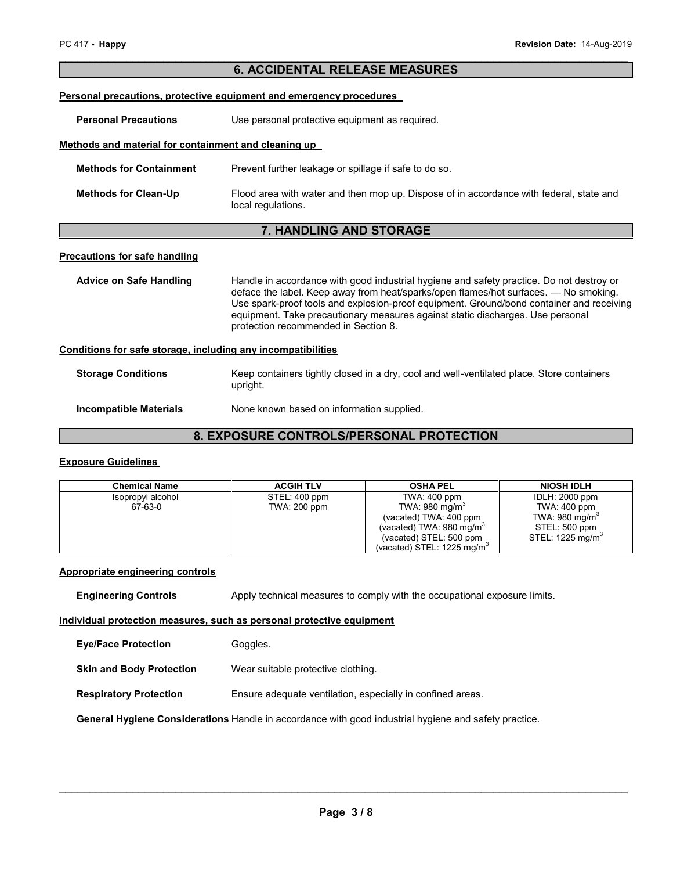| PC 417 - Happy                                               | Revision Date: 14-Aug-2019                                                                                                                                                                                                                                                                                                                                                                             |
|--------------------------------------------------------------|--------------------------------------------------------------------------------------------------------------------------------------------------------------------------------------------------------------------------------------------------------------------------------------------------------------------------------------------------------------------------------------------------------|
|                                                              | <b>6. ACCIDENTAL RELEASE MEASURES</b>                                                                                                                                                                                                                                                                                                                                                                  |
|                                                              | Personal precautions, protective equipment and emergency procedures                                                                                                                                                                                                                                                                                                                                    |
| <b>Personal Precautions</b>                                  | Use personal protective equipment as required.                                                                                                                                                                                                                                                                                                                                                         |
| Methods and material for containment and cleaning up         |                                                                                                                                                                                                                                                                                                                                                                                                        |
| <b>Methods for Containment</b>                               | Prevent further leakage or spillage if safe to do so.                                                                                                                                                                                                                                                                                                                                                  |
| <b>Methods for Clean-Up</b>                                  | Flood area with water and then mop up. Dispose of in accordance with federal, state and<br>local regulations.                                                                                                                                                                                                                                                                                          |
|                                                              | 7. HANDLING AND STORAGE                                                                                                                                                                                                                                                                                                                                                                                |
| <b>Precautions for safe handling</b>                         |                                                                                                                                                                                                                                                                                                                                                                                                        |
| <b>Advice on Safe Handling</b>                               | Handle in accordance with good industrial hygiene and safety practice. Do not destroy or<br>deface the label. Keep away from heat/sparks/open flames/hot surfaces. — No smoking.<br>Use spark-proof tools and explosion-proof equipment. Ground/bond container and receiving<br>equipment. Take precautionary measures against static discharges. Use personal<br>protection recommended in Section 8. |
| Conditions for safe storage, including any incompatibilities |                                                                                                                                                                                                                                                                                                                                                                                                        |
| <b>Storage Conditions</b>                                    | Keep containers tightly closed in a dry, cool and well-ventilated place. Store containers<br>upright.                                                                                                                                                                                                                                                                                                  |
| <b>Incompatible Materials</b>                                | None known based on information supplied.                                                                                                                                                                                                                                                                                                                                                              |

## **8. EXPOSURE CONTROLS/PERSONAL PROTECTION**

#### **Exposure Guidelines**

| <b>Chemical Name</b>         | <b>ACGIH TLV</b>              | <b>OSHA PEL</b>                                                   | <b>NIOSH IDLH</b>              |
|------------------------------|-------------------------------|-------------------------------------------------------------------|--------------------------------|
| Isopropyl alcohol<br>67-63-0 | STEL: 400 ppm<br>TWA: 200 ppm | TWA: 400 ppm<br>TWA: 980 mg/m <sup>3</sup>                        | IDLH: 2000 ppm<br>TWA: 400 ppm |
|                              |                               | (vacated) TWA: 400 ppm                                            | TWA: 980 mg/m $^{\circ}$       |
|                              |                               | (vacated) TWA: 980 mg/m <sup>3</sup>                              | STEL: 500 ppm                  |
|                              |                               | (vacated) STEL: 500 ppm<br>(vacated) STEL: 1225 mg/m <sup>3</sup> | STEL: 1225 mg/m <sup>3</sup>   |

#### **Appropriate engineering controls**

**Engineering Controls** Apply technical measures to comply with the occupational exposure limits.

#### **Individual protection measures, such as personal protective equipment**

| <b>Eye/Face Protection</b> | Goggles. |
|----------------------------|----------|
|----------------------------|----------|

**Skin and Body Protection** Wear suitable protective clothing.

**Respiratory Protection** Ensure adequate ventilation, especially in confined areas.

**General Hygiene Considerations** Handle in accordance with good industrial hygiene and safety practice.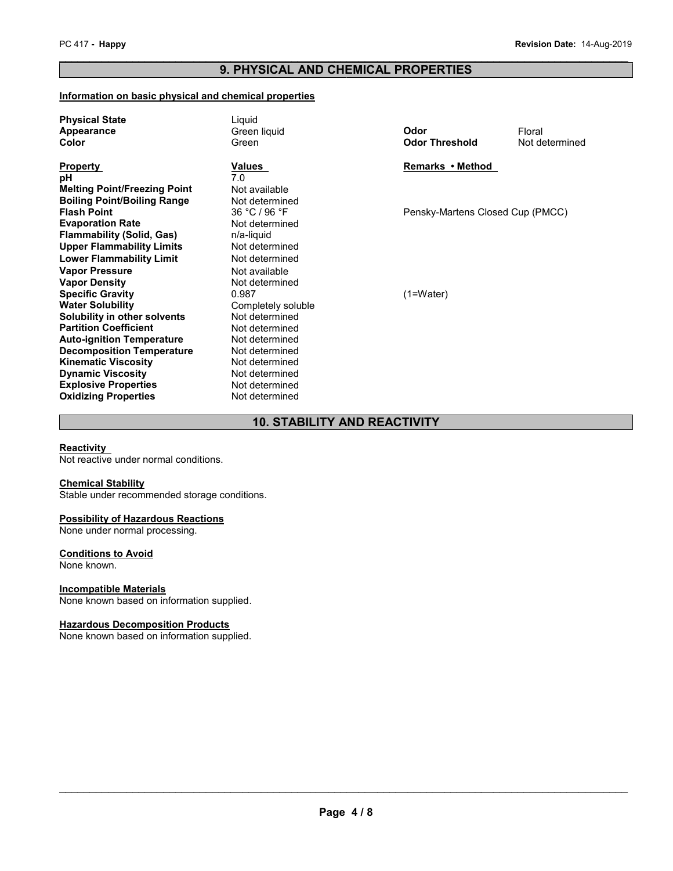# PC 417 - **Happy**<br> **Revision Date:** 14-Aug-2019<br> **PRODUCED AND OUTBURGLE PROPERTIES 9. PHYSICAL AND CHEMICAL PROPERTIES**

#### **Information on basic physical and chemical properties**

| <b>Physical State</b><br>Appearance<br>Color           | Liquid<br>Green liquid<br>Green  | Odor<br><b>Odor Threshold</b>    | Floral<br>Not determined |  |
|--------------------------------------------------------|----------------------------------|----------------------------------|--------------------------|--|
| <b>Property</b>                                        | Values                           | Remarks • Method                 |                          |  |
| pН<br><b>Melting Point/Freezing Point</b>              | 7.0<br>Not available             |                                  |                          |  |
| <b>Boiling Point/Boiling Range</b>                     | Not determined                   |                                  |                          |  |
| <b>Flash Point</b>                                     | 36 °C / 96 °F                    | Pensky-Martens Closed Cup (PMCC) |                          |  |
| <b>Evaporation Rate</b><br>Flammability (Solid, Gas)   | Not determined<br>n/a-liquid     |                                  |                          |  |
| Upper Flammability Limits                              | Not determined                   |                                  |                          |  |
| <b>Lower Flammability Limit</b>                        | Not determined                   |                                  |                          |  |
| <b>Vapor Pressure</b>                                  | Not available                    |                                  |                          |  |
| <b>Vapor Density</b>                                   | Not determined                   |                                  |                          |  |
| <b>Specific Gravity</b><br>Water Solubility            | 0.987<br>Completely soluble      | $(1=Water)$                      |                          |  |
| Solubility in other solvents                           | Not determined                   |                                  |                          |  |
| <b>Partition Coefficient</b>                           | Not determined                   |                                  |                          |  |
| <b>Auto-ignition Temperature</b>                       | Not determined                   |                                  |                          |  |
| <b>Decomposition Temperature</b>                       | Not determined                   |                                  |                          |  |
| <b>Kinematic Viscosity</b><br><b>Dynamic Viscosity</b> | Not determined<br>Not determined |                                  |                          |  |
| <b>Explosive Properties</b>                            | Not determined                   |                                  |                          |  |
| <b>Oxidizing Properties</b>                            | Not determined                   |                                  |                          |  |
|                                                        |                                  |                                  |                          |  |

#### **10. STABILITY AND REACTIVITY**

#### **Reactivity**

Not reactive under normal conditions.

#### **Chemical Stability**

Stable under recommended storage conditions.

#### **Possibility of Hazardous Reactions**

None under normal processing.

#### **Conditions to Avoid**

None known.

#### **Incompatible Materials**

None known based on information supplied.

#### **Hazardous Decomposition Products**

None known based on information supplied.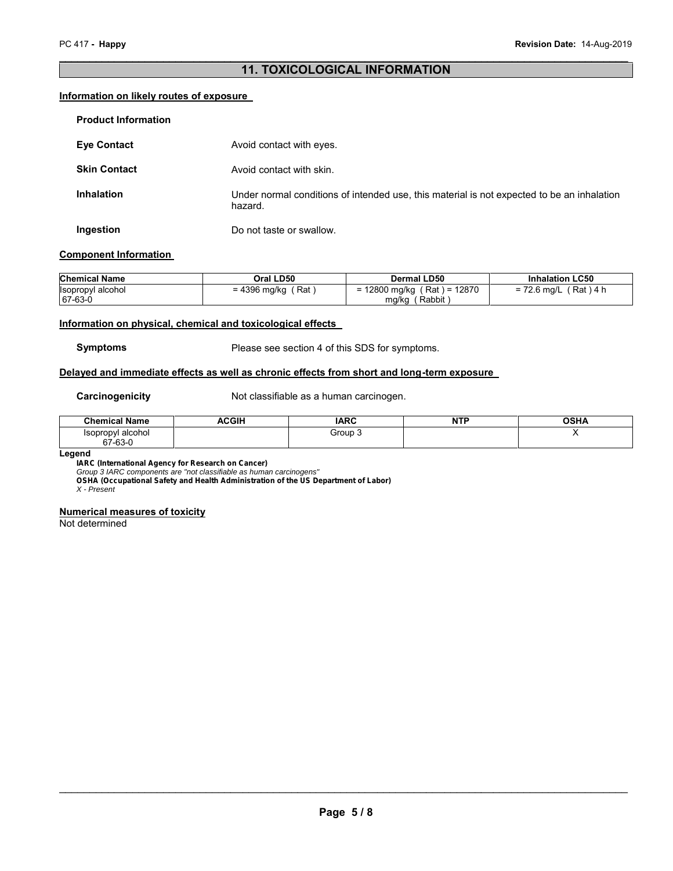### **11. TOXICOLOGICAL INFORMATION**

#### **Information on likely routes of exposure**

| <b>Product Information</b> |                                                                                                       |
|----------------------------|-------------------------------------------------------------------------------------------------------|
| <b>Eye Contact</b>         | Avoid contact with eyes.                                                                              |
| <b>Skin Contact</b>        | Avoid contact with skin.                                                                              |
| <b>Inhalation</b>          | Under normal conditions of intended use, this material is not expected to be an inhalation<br>hazard. |
| Ingestion                  | Do not taste or swallow.                                                                              |

#### **Component Information**

| <b>Chemical Name</b>                   | Oral LD50                      | Dermal LD50                                  | <b>Inhalation LC50</b>  |
|----------------------------------------|--------------------------------|----------------------------------------------|-------------------------|
| <b>Isopropyl alcohol</b><br>$ 67-63-0$ | = 4396 mg/kg $\sqrt{2}$<br>Rat | 12800 mg/kg (Rat) = 12870<br>Rabbit<br>ma/ka | 「Rat)4 h<br>= 72.6 mg/L |

#### **Information on physical, chemical and toxicological effects**

**Symptoms** Please see section 4 of this SDS for symptoms.

#### **Delayed and immediate effects as well as chronic effects from short and long-term exposure**

**Carcinogenicity** Not classifiable as a human carcinogen.

| <b>Name</b><br><b>Chemical</b>  | ACGIH | <b>IARC</b> | <b>NTP</b> | <b>OCHA</b><br>אחטי |
|---------------------------------|-------|-------------|------------|---------------------|
| alcohol<br>Isopropvl<br>67-63-0 |       | Group       |            |                     |

#### **Legend**

*IARC (International Agency for Research on Cancer)*

*Group 3 IARC components are "not classifiable as human carcinogens"*

*OSHA (Occupational Safety and Health Administration of the US Department of Labor)*

*X - Present*

#### **Numerical measures of toxicity**

Not determined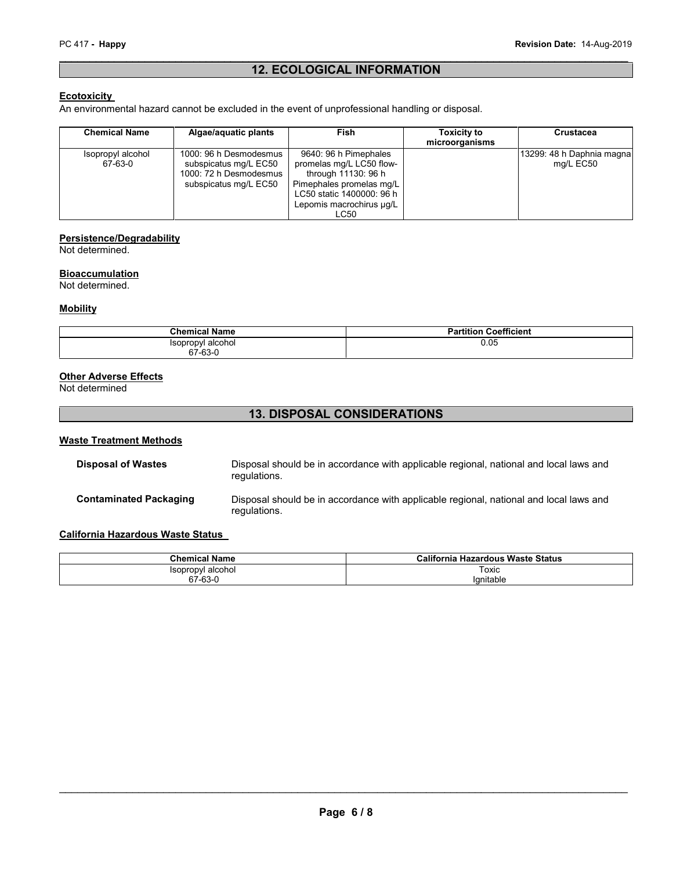### **12. ECOLOGICAL INFORMATION**

#### **Ecotoxicity**

An environmental hazard cannot be excluded in the event of unprofessional handling or disposal.

| <b>Chemical Name</b>         | Algae/aquatic plants                                                                               | Fish                                                                                                                                                                  | <b>Toxicity to</b><br>microorganisms | <b>Crustacea</b>                       |
|------------------------------|----------------------------------------------------------------------------------------------------|-----------------------------------------------------------------------------------------------------------------------------------------------------------------------|--------------------------------------|----------------------------------------|
| Isopropyl alcohol<br>67-63-0 | 1000: 96 h Desmodesmus<br>subspicatus mg/L EC50<br>1000: 72 h Desmodesmus<br>subspicatus mg/L EC50 | 9640: 96 h Pimephales<br>promelas mg/L LC50 flow-<br>through 11130: 96 h<br>Pimephales promelas mg/L<br>LC50 static 1400000: 96 h<br>Lepomis macrochirus µq/L<br>LC50 |                                      | 13299: 48 h Daphnia magna<br>mg/L EC50 |

#### **Persistence/Degradability**

Not determined.

#### **Bioaccumulation**

Not determined.

#### **Mobility**

| <b>Chemical Name</b>         | <b>Partition Coefficient</b> |
|------------------------------|------------------------------|
| Isopropvl alcohol<br>67-63-0 | 0.05                         |

#### **Other Adverse Effects**

Not determined

#### **13. DISPOSAL CONSIDERATIONS**

#### **Waste Treatment Methods**

| <b>Disposal of Wastes</b>     | Disposal should be in accordance with applicable regional, national and local laws and<br>regulations. |
|-------------------------------|--------------------------------------------------------------------------------------------------------|
| <b>Contaminated Packaging</b> | Disposal should be in accordance with applicable regional, national and local laws and<br>regulations. |

#### **California Hazardous Waste Status**

| <b>Chemical Name</b> | California Hazardous Waste Status |
|----------------------|-----------------------------------|
| Isopropyl alcohol    | Toxic                             |
| 67-63-0              | lgnitable                         |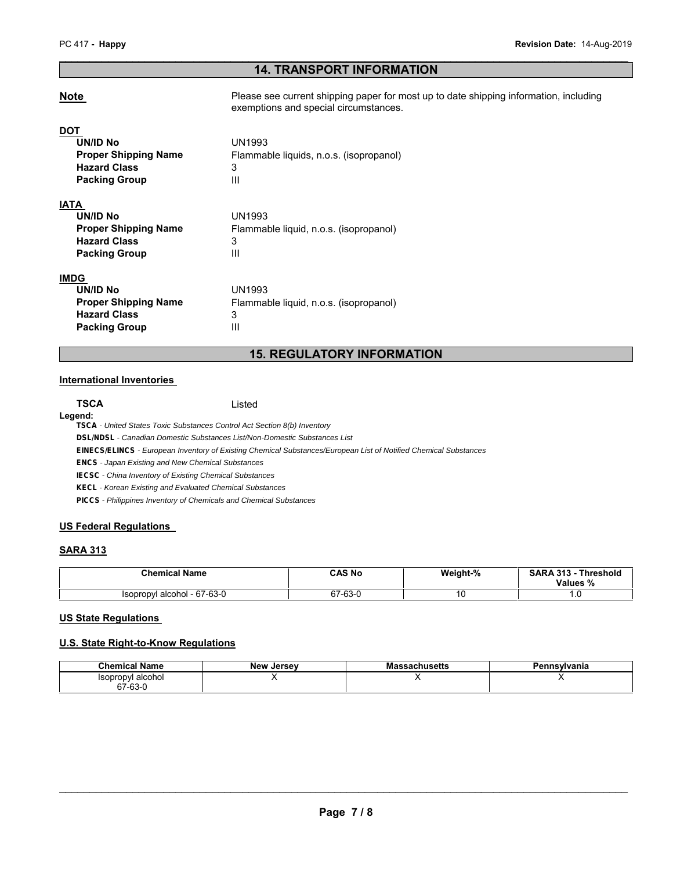#### **14. TRANSPORT INFORMATION**

**Note Please see current shipping paper for most up to date shipping information, including** exemptions and special circumstances.

| DO1<br>UN/ID No<br><b>Proper Shipping Name</b><br><b>Hazard Class</b>                                 | UN1993<br>Flammable liquids, n.o.s. (isopropanol)          |
|-------------------------------------------------------------------------------------------------------|------------------------------------------------------------|
| <b>Packing Group</b>                                                                                  | 3<br>Ш                                                     |
| IATA<br>UN/ID No<br><b>Proper Shipping Name</b><br><b>Hazard Class</b><br><b>Packing Group</b>        | UN1993<br>Flammable liquid, n.o.s. (isopropanol)<br>3<br>Ш |
| <b>IMDG</b><br>UN/ID No<br><b>Proper Shipping Name</b><br><b>Hazard Class</b><br><b>Packing Group</b> | UN1993<br>Flammable liquid, n.o.s. (isopropanol)<br>3<br>Ш |

### **15. REGULATORY INFORMATION**

#### **International Inventories**

# **Legend:**

**TSCA** Listed

*TSCA - United States Toxic Substances Control Act Section 8(b) Inventory*

*DSL/NDSL - Canadian Domestic Substances List/Non-Domestic Substances List*

*EINECS/ELINCS - European Inventory of Existing Chemical Substances/European List of Notified Chemical Substances*

*ENCS - Japan Existing and New Chemical Substances*

*IECSC - China Inventory of Existing Chemical Substances*

*KECL - Korean Existing and Evaluated Chemical Substances*

*PICCS - Philippines Inventory of Chemicals and Chemical Substances*

#### **US Federal Regulations**

#### **SARA 313**

| <b>Chemical Name</b>               | CAS No<br>_____    | Weight-% | <b>SARA 313</b><br><b>Threshold</b><br>Values % |
|------------------------------------|--------------------|----------|-------------------------------------------------|
| i - 67-63-0<br>Isopropyl alcohol - | co c<br>~7<br>ט-כס | u        |                                                 |

#### **US State Regulations**

#### **U.S. State Right-to-Know Regulations**

| <b>Chemical Name</b>               | <b>New</b><br>. Jersev | <b>Massachusetts</b> | Pennsvlvania |
|------------------------------------|------------------------|----------------------|--------------|
| alcohol<br><i><b>Isopropyl</b></i> |                        |                      |              |
| 67-63-0                            |                        |                      |              |